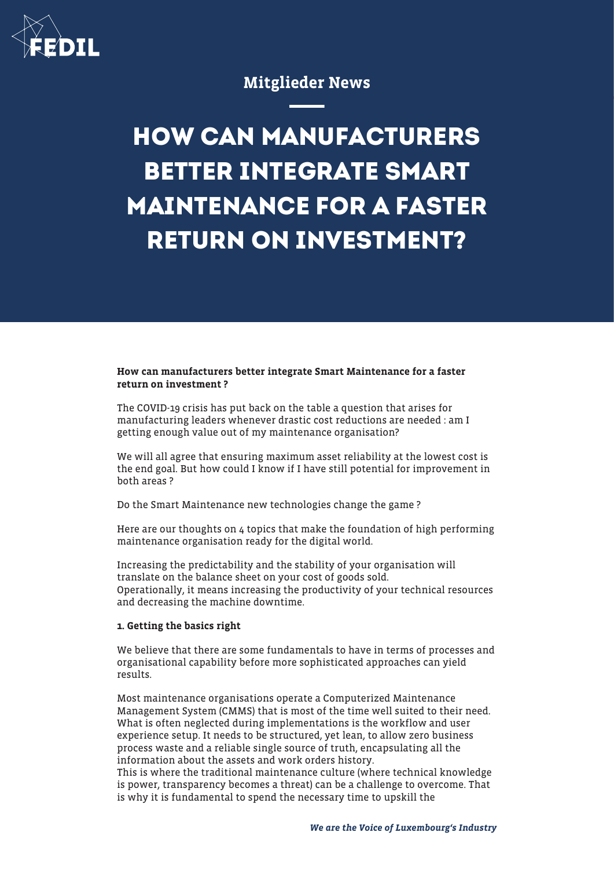

# Mitglieder News

# **HOW CAN MANUFACTURERS BETTER INTEGRATE SMART MAINTENANCE FOR A FASTER RETURN ON INVESTMENT?**

### How can manufacturers better integrate Smart Maintenance for a faster return on investment ?

The COVID-19 crisis has put back on the table a question that arises for manufacturing leaders whenever drastic cost reductions are needed : am I getting enough value out of my maintenance organisation?

We will all agree that ensuring maximum asset reliability at the lowest cost is the end goal. But how could I know if I have still potential for improvement in both areas ?

Do the Smart Maintenance new technologies change the game ?

Here are our thoughts on 4 topics that make the foundation of high performing maintenance organisation ready for the digital world.

Increasing the predictability and the stability of your organisation will translate on the balance sheet on your cost of goods sold. Operationally, it means increasing the productivity of your technical resources and decreasing the machine downtime.

# 1. Getting the basics right

We believe that there are some fundamentals to have in terms of processes and organisational capability before more sophisticated approaches can yield results.

Most maintenance organisations operate a Computerized Maintenance Management System (CMMS) that is most of the time well suited to their need. What is often neglected during implementations is the workflow and user experience setup. It needs to be structured, yet lean, to allow zero business process waste and a reliable single source of truth, encapsulating all the information about the assets and work orders history.

This is where the traditional maintenance culture (where technical knowledge is power, transparency becomes a threat) can be a challenge to overcome. That is why it is fundamental to spend the necessary time to upskill the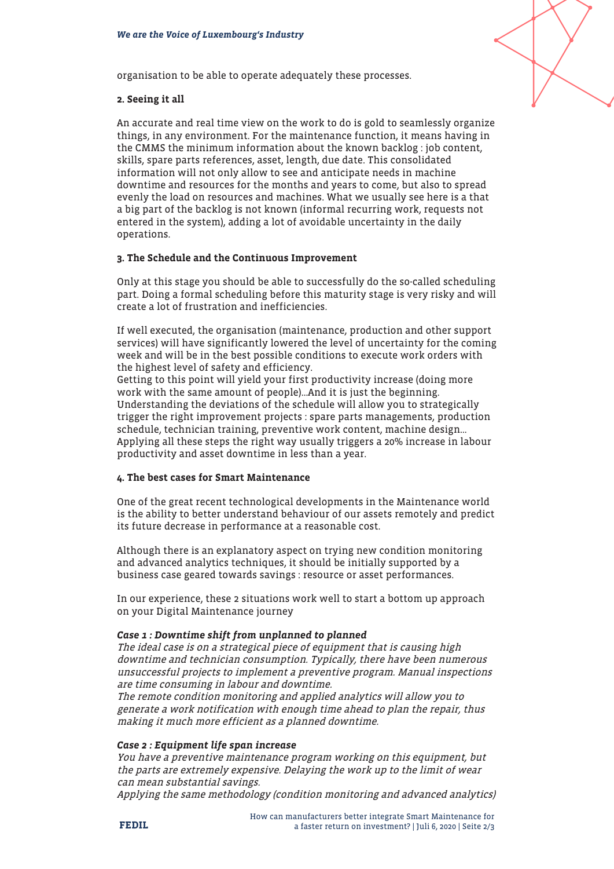

organisation to be able to operate adequately these processes.

#### 2. Seeing it all

An accurate and real time view on the work to do is gold to seamlessly organize things, in any environment. For the maintenance function, it means having in the CMMS the minimum information about the known backlog : job content, skills, spare parts references, asset, length, due date. This consolidated information will not only allow to see and anticipate needs in machine downtime and resources for the months and years to come, but also to spread evenly the load on resources and machines. What we usually see here is a that a big part of the backlog is not known (informal recurring work, requests not entered in the system), adding a lot of avoidable uncertainty in the daily operations.

#### 3. The Schedule and the Continuous Improvement

Only at this stage you should be able to successfully do the so-called scheduling part. Doing a formal scheduling before this maturity stage is very risky and will create a lot of frustration and inefficiencies.

If well executed, the organisation (maintenance, production and other support services) will have significantly lowered the level of uncertainty for the coming week and will be in the best possible conditions to execute work orders with the highest level of safety and efficiency.

Getting to this point will yield your first productivity increase (doing more work with the same amount of people)…And it is just the beginning. Understanding the deviations of the schedule will allow you to strategically trigger the right improvement projects : spare parts managements, production schedule, technician training, preventive work content, machine design… Applying all these steps the right way usually triggers a 20% increase in labour productivity and asset downtime in less than a year.

#### 4. The best cases for Smart Maintenance

One of the great recent technological developments in the Maintenance world is the ability to better understand behaviour of our assets remotely and predict its future decrease in performance at a reasonable cost.

Although there is an explanatory aspect on trying new condition monitoring and advanced analytics techniques, it should be initially supported by a business case geared towards savings : resource or asset performances.

In our experience, these 2 situations work well to start a bottom up approach on your Digital Maintenance journey

#### Case 1 : Downtime shift from unplanned to planned

The ideal case is on a strategical piece of equipment that is causing high downtime and technician consumption. Typically, there have been numerous unsuccessful projects to implement a preventive program. Manual inspections are time consuming in labour and downtime.

The remote condition monitoring and applied analytics will allow you to generate a work notification with enough time ahead to plan the repair, thus making it much more efficient as a planned downtime.

#### Case 2 : Equipment life span increase

You have a preventive maintenance program working on this equipment, but the parts are extremely expensive. Delaying the work up to the limit of wear can mean substantial savings.

Applying the same methodology (condition monitoring and advanced analytics)